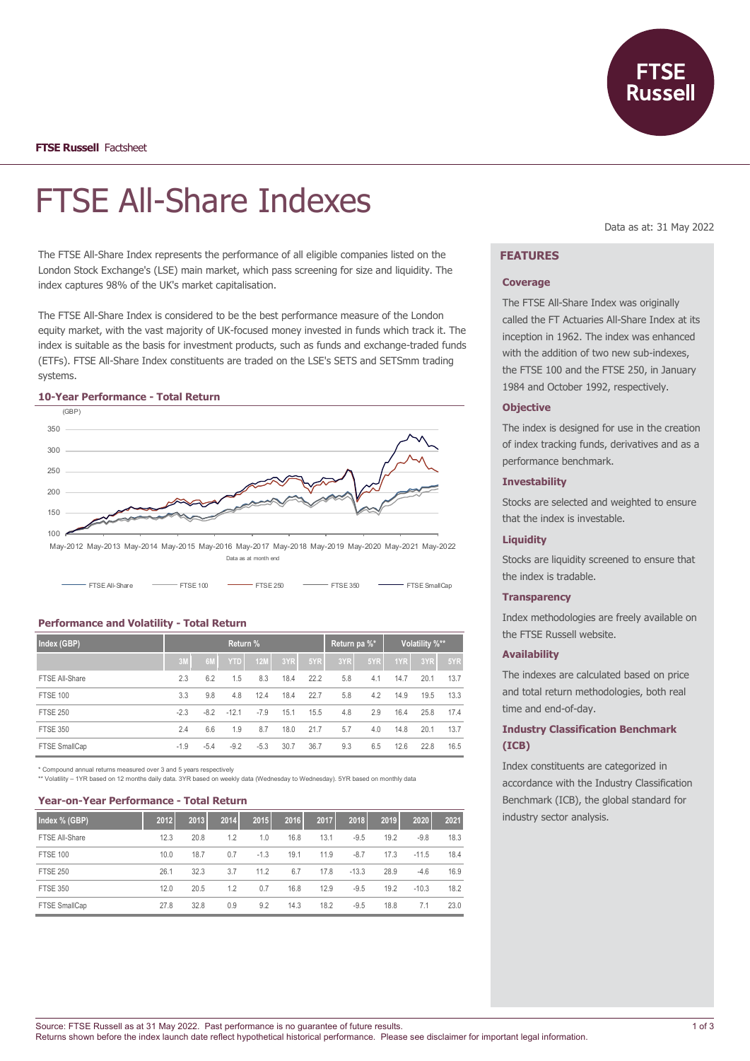

# FTSE All-Share Indexes

The FTSE All-Share Index represents the performance of all eligible companies listed on the London Stock Exchange's (LSE) main market, which pass screening for size and liquidity. The index captures 98% of the UK's market capitalisation.

The FTSE All-Share Index is considered to be the best performance measure of the London equity market, with the vast majority of UK-focused money invested in funds which track it. The index is suitable as the basis for investment products, such as funds and exchange-traded funds (ETFs). FTSE All-Share Index constituents are traded on the LSE's SETS and SETSmm trading systems.



## **10-Year Performance - Total Return**

May-2012 May-2013 May-2014 May-2015 May-2016 May-2017 May-2018 May-2019 May-2020 May-2021 May-2022 Data as at month end

| FTSEAI-Share | $-$ FTSE 100 | $-$ FTSE 250 | $-$ FTSE 350 | FTSE Small Cap |
|--------------|--------------|--------------|--------------|----------------|
|              |              |              |              |                |

#### **Performance and Volatility - Total Return**

| Index (GBP)     |            | Return % |            | Return pa %* |      | Volatility %** |     |     |      |      |      |
|-----------------|------------|----------|------------|--------------|------|----------------|-----|-----|------|------|------|
|                 | $\sqrt{3}$ | 6M       | <b>YTD</b> | 12M          | 3YR  | 5YR            | 3YR | 5YR | 1YR  | 3YR  | 5YR  |
| FTSE All-Share  | 2.3        | 6.2      | 1.5        | 8.3          | 18.4 | 22.2           | 5.8 | 4.1 | 14.7 | 20.1 | 13.7 |
| <b>FTSE 100</b> | 3.3        | 9.8      | 4.8        | 12.4         | 18.4 | 22.7           | 5.8 | 4.2 | 14.9 | 19.5 | 13.3 |
| <b>FTSE 250</b> | $-2.3$     | $-8.2$   | $-12.1$    | $-7.9$       | 15.1 | 15.5           | 4.8 | 2.9 | 16.4 | 25.8 | 17.4 |
| <b>FTSE 350</b> | 2.4        | 6.6      | 1.9        | 8.7          | 18.0 | 21.7           | 5.7 | 4.0 | 14.8 | 20.1 | 13.7 |
| FTSE SmallCap   | $-1.9$     | $-5.4$   | $-9.2$     | $-5.3$       | 30.7 | 36.7           | 9.3 | 6.5 | 12.6 | 22.8 | 16.5 |

\* Compound annual returns measured over 3 and 5 years respectively

\*\* Volatility – 1YR based on 12 months daily data. 3YR based on weekly data (Wednesday to Wednesday). 5YR based on monthly data

#### **Year-on-Year Performance - Total Return**

| Index % (GBP)   | 2012 | 2013 | 2014 | 2015   | 2016 | 2017 | 2018    | 2019 | 2020    | 2021 |
|-----------------|------|------|------|--------|------|------|---------|------|---------|------|
| FTSE All-Share  | 12.3 | 20.8 | 1.2  | 1.0    | 16.8 | 13.1 | $-9.5$  | 19.2 | $-9.8$  | 18.3 |
| <b>FTSE 100</b> | 10.0 | 18.7 | 0.7  | $-1.3$ | 19.1 | 11.9 | $-8.7$  | 17.3 | $-11.5$ | 18.4 |
| <b>FTSE 250</b> | 26.1 | 32.3 | 3.7  | 11.2   | 6.7  | 17.8 | $-13.3$ | 28.9 | $-4.6$  | 16.9 |
| <b>FTSE 350</b> | 12.0 | 20.5 | 1.2  | 0.7    | 16.8 | 12.9 | $-9.5$  | 19.2 | $-10.3$ | 18.2 |
| FTSE SmallCap   | 27.8 | 32.8 | 0.9  | 9.2    | 14.3 | 18.2 | $-9.5$  | 18.8 | 7.1     | 23.0 |

Data as at: 31 May 2022

# **FEATURES**

#### **Coverage**

The FTSE All-Share Index was originally called the FT Actuaries All-Share Index at its inception in 1962. The index was enhanced with the addition of two new sub-indexes, the FTSE 100 and the FTSE 250, in January 1984 and October 1992, respectively.

## **Objective**

The index is designed for use in the creation of index tracking funds, derivatives and as a performance benchmark.

#### **Investability**

Stocks are selected and weighted to ensure that the index is investable.

#### **Liquidity**

Stocks are liquidity screened to ensure that the index is tradable.

#### **Transparency**

Index methodologies are freely available on the FTSE Russell website.

## **Availability**

The indexes are calculated based on price and total return methodologies, both real time and end-of-day.

## **Industry Classification Benchmark (ICB)**

Index constituents are categorized in accordance with the Industry Classification Benchmark (ICB), the global standard for industry sector analysis.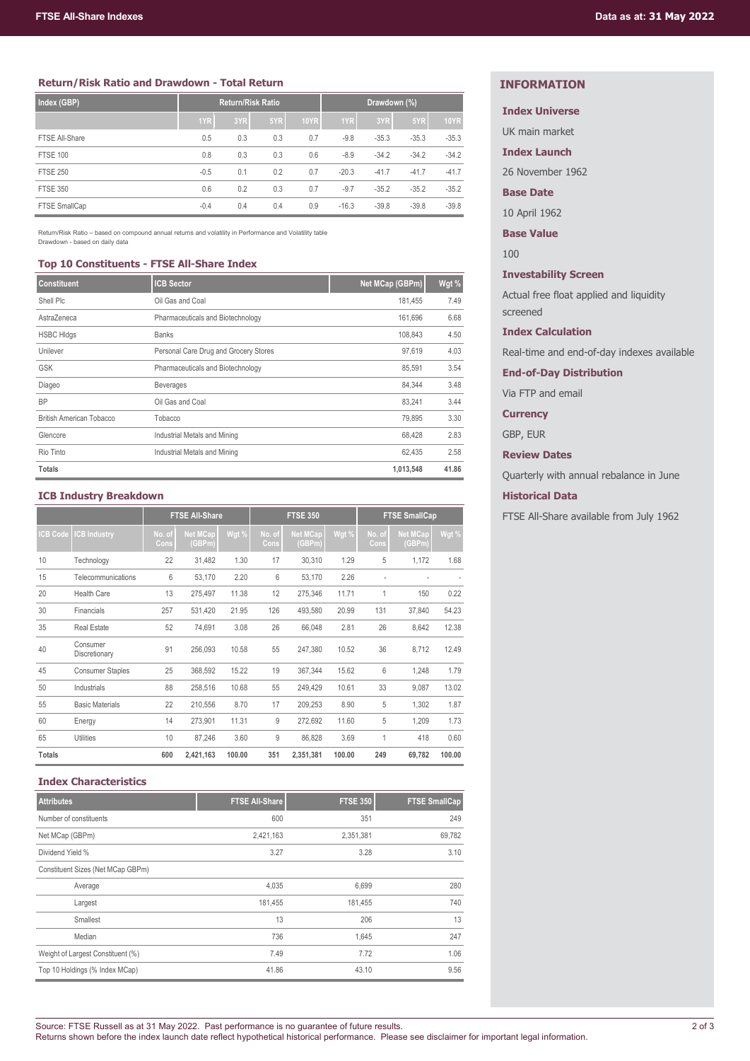## **Return/Risk Ratio and Drawdown - Total Return**

| Index (GBP)     | <b>Return/Risk Ratio</b> |     |     |             | Drawdown (%) |         |         |             |
|-----------------|--------------------------|-----|-----|-------------|--------------|---------|---------|-------------|
|                 | 1YR                      | 3YR | 5YR | <b>10YR</b> | 1YR          | 3YR     | 5YR     | <b>10YR</b> |
| FTSE All-Share  | 0.5                      | 0.3 | 0.3 | 0.7         | $-9.8$       | $-35.3$ | $-35.3$ | $-35.3$     |
| <b>FTSE 100</b> | 0.8                      | 0.3 | 0.3 | 0.6         | $-8.9$       | $-34.2$ | $-34.2$ | $-34.2$     |
| <b>FTSE 250</b> | $-0.5$                   | 0.1 | 0.2 | 0.7         | $-20.3$      | $-41.7$ | $-41.7$ | $-41.7$     |
| <b>FTSE 350</b> | 0.6                      | 0.2 | 0.3 | 0.7         | $-9.7$       | $-35.2$ | $-35.2$ | $-35.2$     |
| FTSE SmallCap   | $-0.4$                   | 0.4 | 0.4 | 0.9         | $-16.3$      | $-39.8$ | $-39.8$ | $-39.8$     |

Return/Risk Ratio – based on compound annual returns and volatility in Performance and Volatility table Drawdown - based on daily data

#### **Top 10 Constituents - FTSE All-Share Index**

| <b>Constituent</b>              | <b>ICB Sector</b>                     | Net MCap (GBPm) | Wgt % |
|---------------------------------|---------------------------------------|-----------------|-------|
| Shell Plc                       | Oil Gas and Coal                      | 181,455         | 7.49  |
| AstraZeneca                     | Pharmaceuticals and Biotechnology     | 161,696         | 6.68  |
| <b>HSBC HIdgs</b>               | <b>Banks</b>                          | 108,843         | 4.50  |
| Unilever                        | Personal Care Drug and Grocery Stores | 97,619          | 4.03  |
| <b>GSK</b>                      | Pharmaceuticals and Biotechnology     | 85,591          | 3.54  |
| Diageo                          | <b>Beverages</b>                      | 84,344          | 3.48  |
| <b>BP</b>                       | Oil Gas and Coal                      | 83,241          | 3.44  |
| <b>British American Tobacco</b> | Tobacco                               | 79,895          | 3.30  |
| Glencore                        | Industrial Metals and Mining          | 68,428          | 2.83  |
| Rio Tinto                       | Industrial Metals and Mining          | 62,435          | 2.58  |
| <b>Totals</b>                   |                                       | 1,013,548       | 41.86 |

#### **ICB Industry Breakdown**

|                 |                           |                | <b>FTSE All-Share</b>     |        | <b>FTSE 350</b> |                           |        | <b>FTSE SmallCap</b> |                           |        |
|-----------------|---------------------------|----------------|---------------------------|--------|-----------------|---------------------------|--------|----------------------|---------------------------|--------|
| <b>ICB Code</b> | <b>CB Industry</b>        | No. of<br>Cons | <b>Net MCap</b><br>(GBPm) | Wgt %  | No. of<br>Cons  | <b>Net MCap</b><br>(GBPm) | Wgt %  | No. of<br>Cons       | <b>Net MCap</b><br>(GBPm) | Wgt %  |
| 10              | Technology                | 22             | 31,482                    | 1.30   | 17              | 30,310                    | 1.29   | 5                    | 1,172                     | 1.68   |
| 15              | Telecommunications        | 6              | 53,170                    | 2.20   | 6               | 53,170                    | 2.26   |                      |                           |        |
| 20              | <b>Health Care</b>        | 13             | 275,497                   | 11.38  | 12              | 275,346                   | 11.71  | 1                    | 150                       | 0.22   |
| 30              | Financials                | 257            | 531,420                   | 21.95  | 126             | 493,580                   | 20.99  | 131                  | 37,840                    | 54.23  |
| 35              | <b>Real Estate</b>        | 52             | 74,691                    | 3.08   | 26              | 66,048                    | 2.81   | 26                   | 8,642                     | 12.38  |
| 40              | Consumer<br>Discretionary | 91             | 256,093                   | 10.58  | 55              | 247,380                   | 10.52  | 36                   | 8,712                     | 12.49  |
| 45              | <b>Consumer Staples</b>   | 25             | 368,592                   | 15.22  | 19              | 367,344                   | 15.62  | 6                    | 1,248                     | 1.79   |
| 50              | Industrials               | 88             | 258,516                   | 10.68  | 55              | 249,429                   | 10.61  | 33                   | 9,087                     | 13.02  |
| 55              | <b>Basic Materials</b>    | 22             | 210,556                   | 8.70   | 17              | 209,253                   | 8.90   | 5                    | 1,302                     | 1.87   |
| 60              | Energy                    | 14             | 273,901                   | 11.31  | 9               | 272,692                   | 11.60  | 5                    | 1,209                     | 1.73   |
| 65              | Utilities                 | 10             | 87.246                    | 3.60   | 9               | 86,828                    | 3.69   | 1                    | 418                       | 0.60   |
| <b>Totals</b>   |                           | 600            | 2,421,163                 | 100.00 | 351             | 2,351,381                 | 100.00 | 249                  | 69,782                    | 100.00 |

# **Index Characteristics**

| <b>Attributes</b>                 | <b>FTSE All-Share</b> | <b>FTSE 350</b> | <b>FTSE SmallCap</b> |
|-----------------------------------|-----------------------|-----------------|----------------------|
| Number of constituents            | 600                   | 351             | 249                  |
| Net MCap (GBPm)                   | 2,421,163             | 2,351,381       | 69,782               |
| Dividend Yield %                  | 3.27                  | 3.28            | 3.10                 |
| Constituent Sizes (Net MCap GBPm) |                       |                 |                      |
| Average                           | 4,035                 | 6,699           | 280                  |
| Largest                           | 181,455               | 181.455         | 740                  |
| Smallest                          | 13                    | 206             | 13                   |
| Median                            | 736                   | 1,645           | 247                  |
| Weight of Largest Constituent (%) | 7.49                  | 7.72            | 1.06                 |
| Top 10 Holdings (% Index MCap)    | 41.86                 | 43.10           | 9.56                 |

# **INFORMATION**

# **Index Universe**

UK main market

**Index Launch**

26 November 1962

# **Base Date**

10 April 1962

**Base Value**

100

# **Investability Screen**

Actual free float applied and liquidity screened

#### **Index Calculation**

Real-time and end-of-day indexes available

**End-of-Day Distribution**

Via FTP and email

# **Currency**

GBP, EUR

**Review Dates**

Quarterly with annual rebalance in June

## **Historical Data**

FTSE All-Share available from July 1962